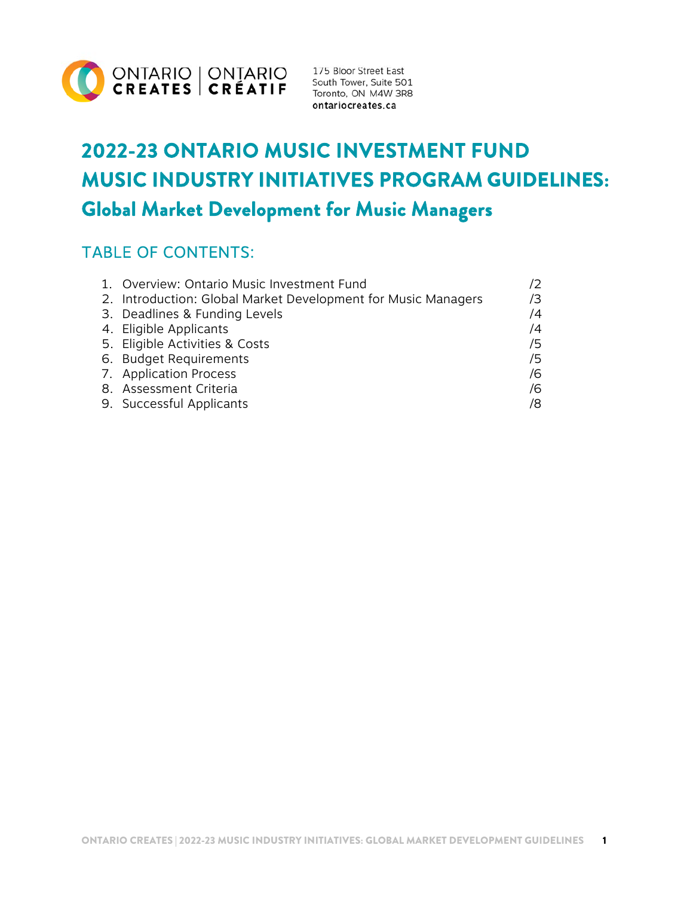

ontariocreates.ca

# **2022-23 ONTARIO MUSIC INVESTMENT FUND MUSIC INDUSTRY INITIATIVES PROGRAM** GUIDELINES: **Global Market Development for Music Managers**

# TABLE OF CONTENTS:

| 1. Overview: Ontario Music Investment Fund                    |            |
|---------------------------------------------------------------|------------|
| 2. Introduction: Global Market Development for Music Managers | /3         |
| 3. Deadlines & Funding Levels                                 | /4         |
| 4. Eligible Applicants                                        | $\sqrt{4}$ |
| 5. Eligible Activities & Costs                                | 75         |
| 6. Budget Requirements                                        | 75         |
| 7. Application Process                                        | /6         |
| 8. Assessment Criteria                                        | 76         |
| 9. Successful Applicants                                      | /8         |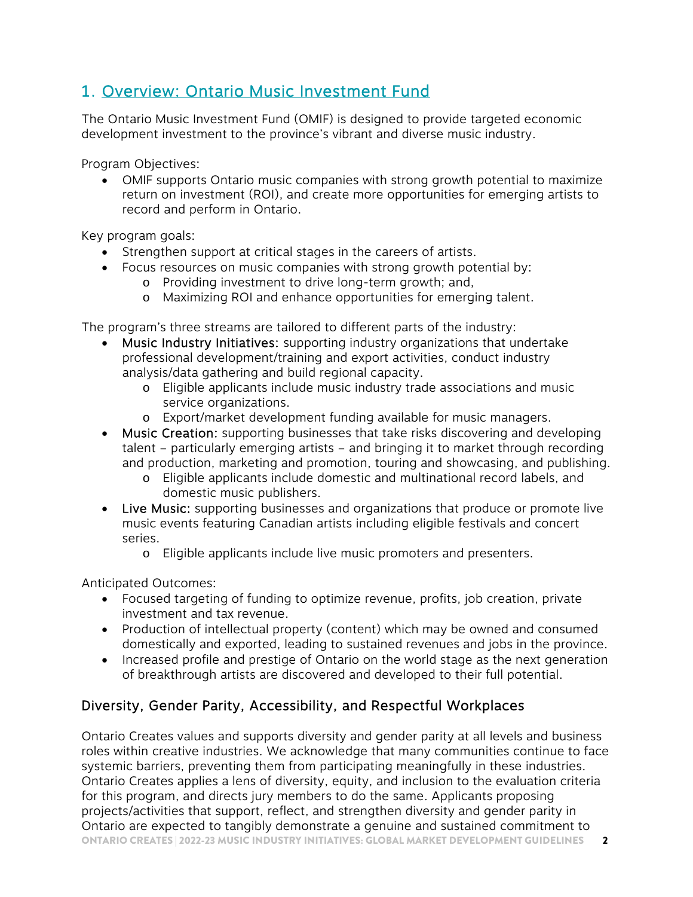# 1. Overview: Ontario Music Investment Fund

The Ontario Music Investment Fund (OMIF) is designed to provide targeted economic development investment to the province's vibrant and diverse music industry.

Program Objectives:

 OMIF supports Ontario music companies with strong growth potential to maximize return on investment (ROI), and create more opportunities for emerging artists to record and perform in Ontario.

Key program goals:

- Strengthen support at critical stages in the careers of artists.
- Focus resources on music companies with strong growth potential by:
	- o Providing investment to drive long-term growth; and,
	- o Maximizing ROI and enhance opportunities for emerging talent.

The program's three streams are tailored to different parts of the industry:

- Music Industry Initiatives: supporting industry organizations that undertake professional development/training and export activities, conduct industry analysis/data gathering and build regional capacity.
	- o Eligible applicants include music industry trade associations and music service organizations.
	- o Export/market development funding available for music managers.
- Music Creation: supporting businesses that take risks discovering and developing talent – particularly emerging artists – and bringing it to market through recording and production, marketing and promotion, touring and showcasing, and publishing.
	- o Eligible applicants include domestic and multinational record labels, and domestic music publishers.
- Live Music: supporting businesses and organizations that produce or promote live music events featuring Canadian artists including eligible festivals and concert series.
	- o Eligible applicants include live music promoters and presenters.

Anticipated Outcomes:

- Focused targeting of funding to optimize revenue, profits, job creation, private investment and tax revenue.
- Production of intellectual property (content) which may be owned and consumed domestically and exported, leading to sustained revenues and jobs in the province.
- Increased profile and prestige of Ontario on the world stage as the next generation of breakthrough artists are discovered and developed to their full potential.

#### Diversity, Gender Parity, Accessibility, and Respectful Workplaces

ONTARIO CREATES | 2022-23 MUSIC INDUSTRY INITIATIVES: GLOBAL MARKET DEVELOPMENT GUIDELINES 2 Ontario Creates values and supports diversity and gender parity at all levels and business roles within creative industries. We acknowledge that many communities continue to face systemic barriers, preventing them from participating meaningfully in these industries. Ontario Creates applies a lens of diversity, equity, and inclusion to the evaluation criteria for this program, and directs jury members to do the same. Applicants proposing projects/activities that support, reflect, and strengthen diversity and gender parity in Ontario are expected to tangibly demonstrate a genuine and sustained commitment to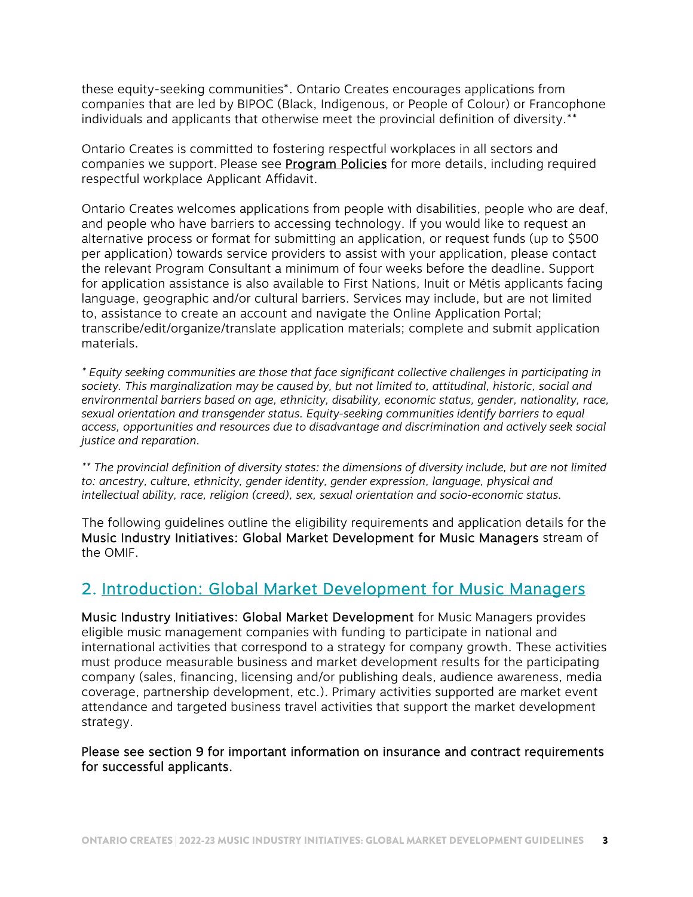these equity-seeking communities\*. Ontario Creates encourages applications from companies that are led by BIPOC (Black, Indigenous, or People of Colour) or Francophone individuals and applicants that otherwise meet the provincial definition of diversity.\*\*

Ontario Creates is committed to fostering respectful workplaces in all sectors and companies we support. Please see **Program Policies** for more details, including required respectful workplace Applicant Affidavit.

Ontario Creates welcomes applications from people with disabilities, people who are deaf, and people who have barriers to accessing technology. If you would like to request an alternative process or format for submitting an application, or request funds (up to \$500 per application) towards service providers to assist with your application, please contact the relevant Program Consultant a minimum of four weeks before the deadline. Support for application assistance is also available to First Nations, Inuit or Métis applicants facing language, geographic and/or cultural barriers. Services may include, but are not limited to, assistance to create an account and navigate the Online Application Portal; transcribe/edit/organize/translate application materials; complete and submit application materials.

*\* Equity seeking communities are those that face significant collective challenges in participating in society. This marginalization may be caused by, but not limited to, attitudinal, historic, social and environmental barriers based on age, ethnicity, disability, economic status, gender, nationality, race, sexual orientation and transgender status. Equity-seeking communities identify barriers to equal access, opportunities and resources due to disadvantage and discrimination and actively seek social justice and reparation.* 

*\*\* The provincial definition of diversity states: the dimensions of diversity include, but are not limited to: ancestry, culture, ethnicity, gender identity, gender expression, language, physical and intellectual ability, race, religion (creed), sex, sexual orientation and socio-economic status.* 

The following guidelines outline the eligibility requirements and application details for the Music Industry Initiatives: Global Market Development for Music Managers stream of the OMIF.

#### 2. Introduction: Global Market Development for Music Managers

Music Industry Initiatives: Global Market Development for Music Managers provides eligible music management companies with funding to participate in national and international activities that correspond to a strategy for company growth. These activities must produce measurable business and market development results for the participating company (sales, financing, licensing and/or publishing deals, audience awareness, media coverage, partnership development, etc.). Primary activities supported are market event attendance and targeted business travel activities that support the market development strategy.

Please see section 9 for important information on insurance and contract requirements for successful applicants.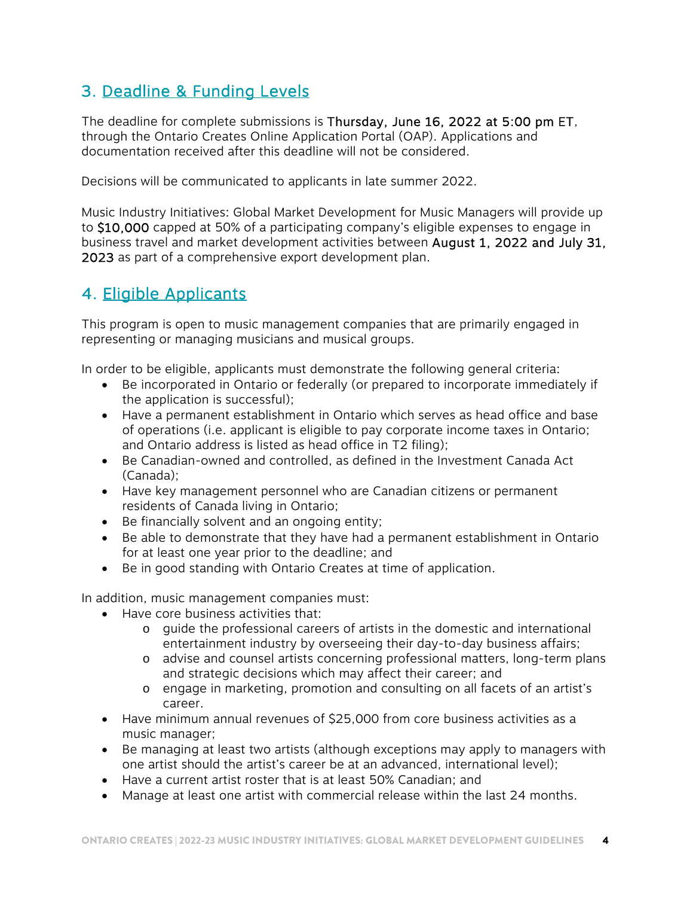# 3. Deadline & Funding Levels

The deadline for complete submissions is Thursday, June 16, 2022 at 5:00 pm ET, through the Ontario Creates Online Application Portal (OAP). Applications and documentation received after this deadline will not be considered.

Decisions will be communicated to applicants in late summer 2022.

Music Industry Initiatives: Global Market Development for Music Managers will provide up to \$10,000 capped at 50% of a participating company's eligible expenses to engage in business travel and market development activities between August 1, 2022 and July 31, 2023 as part of a comprehensive export development plan.

# 4. Eligible Applicants

This program is open to music management companies that are primarily engaged in representing or managing musicians and musical groups.

In order to be eligible, applicants must demonstrate the following general criteria:

- Be incorporated in Ontario or federally (or prepared to incorporate immediately if the application is successful);
- Have a permanent establishment in Ontario which serves as head office and base of operations (i.e. applicant is eligible to pay corporate income taxes in Ontario; and Ontario address is listed as head office in T2 filing);
- Be Canadian-owned and controlled, as defined in the Investment Canada Act (Canada);
- Have key management personnel who are Canadian citizens or permanent residents of Canada living in Ontario;
- Be financially solvent and an ongoing entity;
- Be able to demonstrate that they have had a permanent establishment in Ontario for at least one year prior to the deadline; and
- Be in good standing with Ontario Creates at time of application.

In addition, music management companies must:

- Have core business activities that:
	- o guide the professional careers of artists in the domestic and international entertainment industry by overseeing their day-to-day business affairs;
	- o advise and counsel artists concerning professional matters, long-term plans and strategic decisions which may affect their career; and
	- o engage in marketing, promotion and consulting on all facets of an artist's career.
- Have minimum annual revenues of \$25,000 from core business activities as a music manager;
- Be managing at least two artists (although exceptions may apply to managers with one artist should the artist's career be at an advanced, international level);
- Have a current artist roster that is at least 50% Canadian; and
- Manage at least one artist with commercial release within the last 24 months.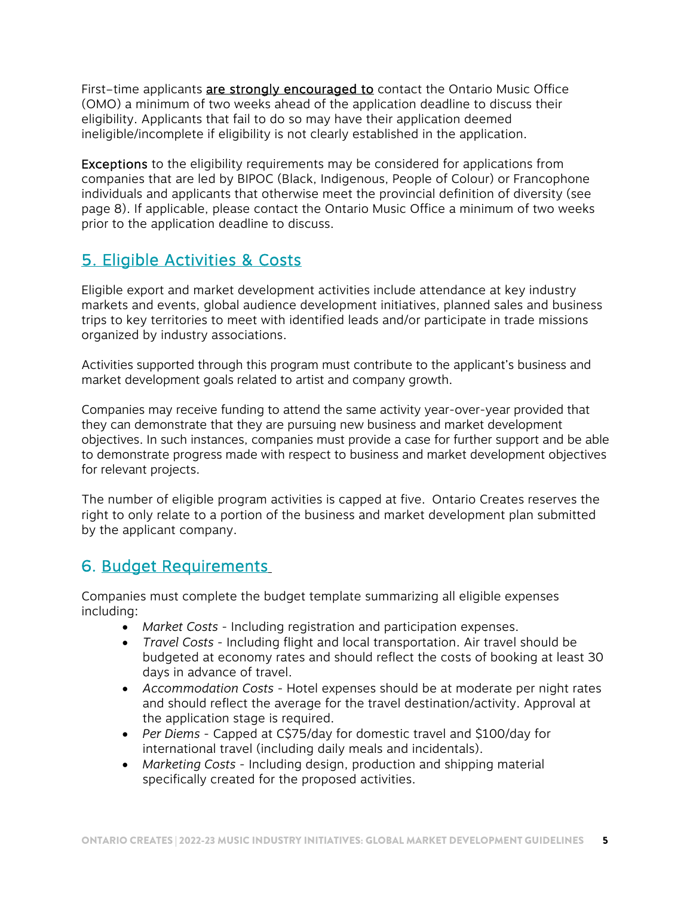First-time applicants are strongly encouraged to contact the Ontario Music Office (OMO) a minimum of two weeks ahead of the application deadline to discuss their eligibility. Applicants that fail to do so may have their application deemed ineligible/incomplete if eligibility is not clearly established in the application.

Exceptions to the eligibility requirements may be considered for applications from companies that are led by BIPOC (Black, Indigenous, People of Colour) or Francophone individuals and applicants that otherwise meet the provincial definition of diversity (see page 8). If applicable, please contact the Ontario Music Office a minimum of two weeks prior to the application deadline to discuss.

# 5. Eligible Activities & Costs

Eligible export and market development activities include attendance at key industry markets and events, global audience development initiatives, planned sales and business trips to key territories to meet with identified leads and/or participate in trade missions organized by industry associations.

Activities supported through this program must contribute to the applicant's business and market development goals related to artist and company growth.

Companies may receive funding to attend the same activity year-over-year provided that they can demonstrate that they are pursuing new business and market development objectives. In such instances, companies must provide a case for further support and be able to demonstrate progress made with respect to business and market development objectives for relevant projects.

The number of eligible program activities is capped at five. Ontario Creates reserves the right to only relate to a portion of the business and market development plan submitted by the applicant company.

# 6. Budget Requirements

Companies must complete the budget template summarizing all eligible expenses including:

- *Market Costs* Including registration and participation expenses.
- *Travel Costs*  Including flight and local transportation. Air travel should be budgeted at economy rates and should reflect the costs of booking at least 30 days in advance of travel.
- *Accommodation Costs* Hotel expenses should be at moderate per night rates and should reflect the average for the travel destination/activity. Approval at the application stage is required.
- *Per Diems* Capped at C\$75/day for domestic travel and \$100/day for international travel (including daily meals and incidentals).
- *Marketing Costs* Including design, production and shipping material specifically created for the proposed activities.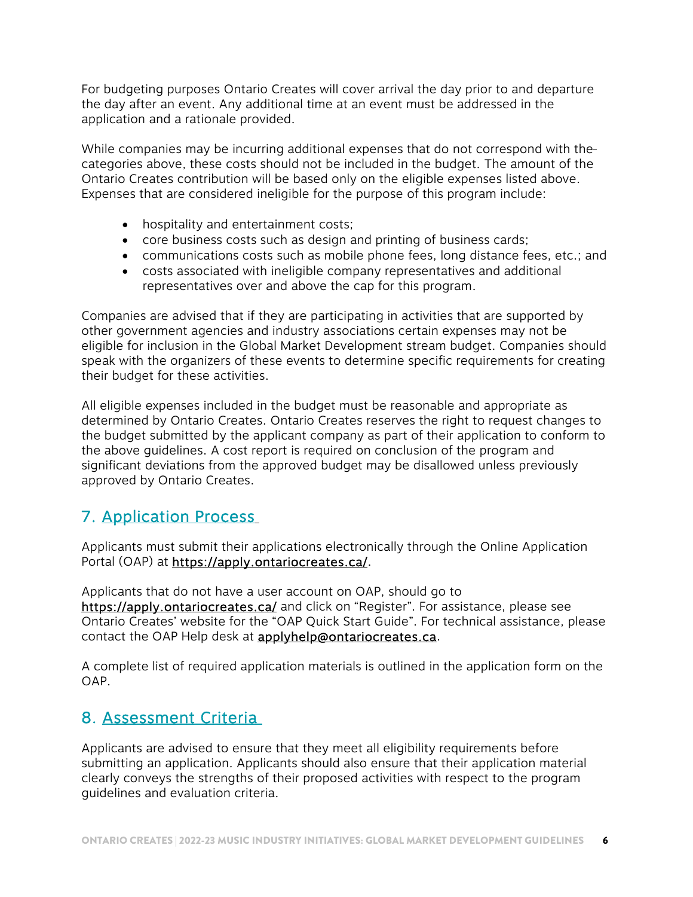For budgeting purposes Ontario Creates will cover arrival the day prior to and departure the day after an event. Any additional time at an event must be addressed in the application and a rationale provided.

While companies may be incurring additional expenses that do not correspond with the categories above, these costs should not be included in the budget. The amount of the Ontario Creates contribution will be based only on the eligible expenses listed above. Expenses that are considered ineligible for the purpose of this program include:

- hospitality and entertainment costs;
- core business costs such as design and printing of business cards;
- communications costs such as mobile phone fees, long distance fees, etc.; and
- costs associated with ineligible company representatives and additional representatives over and above the cap for this program.

Companies are advised that if they are participating in activities that are supported by other government agencies and industry associations certain expenses may not be eligible for inclusion in the Global Market Development stream budget. Companies should speak with the organizers of these events to determine specific requirements for creating their budget for these activities.

All eligible expenses included in the budget must be reasonable and appropriate as determined by Ontario Creates. Ontario Creates reserves the right to request changes to the budget submitted by the applicant company as part of their application to conform to the above guidelines. A cost report is required on conclusion of the program and significant deviations from the approved budget may be disallowed unless previously approved by Ontario Creates.

# 7. Application Process

Applicants must submit their applications electronically through the Online Application Portal (OAP) at https://apply.ontariocreates.ca/.

Applicants that do not have a user account on OAP, should go to https://apply.ontariocreates.ca/ and click on "Register". For assistance, please see Ontario Creates' website for the "OAP Quick Start Guide". For technical assistance, please contact the OAP Help desk at **applyhelp@ontariocreates.ca**.

A complete list of required application materials is outlined in the application form on the OAP.

#### 8. Assessment Criteria

Applicants are advised to ensure that they meet all eligibility requirements before submitting an application. Applicants should also ensure that their application material clearly conveys the strengths of their proposed activities with respect to the program guidelines and evaluation criteria.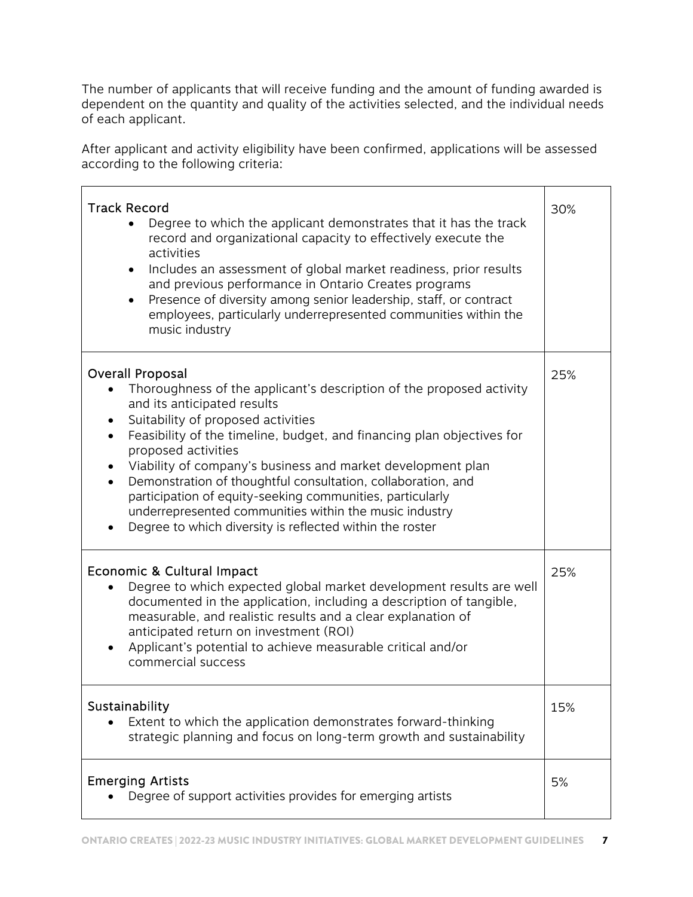The number of applicants that will receive funding and the amount of funding awarded is dependent on the quantity and quality of the activities selected, and the individual needs of each applicant.

After applicant and activity eligibility have been confirmed, applications will be assessed according to the following criteria:

| <b>Track Record</b><br>Degree to which the applicant demonstrates that it has the track<br>record and organizational capacity to effectively execute the<br>activities<br>Includes an assessment of global market readiness, prior results<br>$\bullet$<br>and previous performance in Ontario Creates programs<br>Presence of diversity among senior leadership, staff, or contract<br>$\bullet$<br>employees, particularly underrepresented communities within the<br>music industry                                                                                                                                         | 30% |
|--------------------------------------------------------------------------------------------------------------------------------------------------------------------------------------------------------------------------------------------------------------------------------------------------------------------------------------------------------------------------------------------------------------------------------------------------------------------------------------------------------------------------------------------------------------------------------------------------------------------------------|-----|
| <b>Overall Proposal</b><br>Thoroughness of the applicant's description of the proposed activity<br>and its anticipated results<br>Suitability of proposed activities<br>Feasibility of the timeline, budget, and financing plan objectives for<br>$\bullet$<br>proposed activities<br>Viability of company's business and market development plan<br>$\bullet$<br>Demonstration of thoughtful consultation, collaboration, and<br>$\bullet$<br>participation of equity-seeking communities, particularly<br>underrepresented communities within the music industry<br>Degree to which diversity is reflected within the roster | 25% |
| Economic & Cultural Impact<br>Degree to which expected global market development results are well<br>$\bullet$<br>documented in the application, including a description of tangible,<br>measurable, and realistic results and a clear explanation of<br>anticipated return on investment (ROI)<br>Applicant's potential to achieve measurable critical and/or<br>commercial success                                                                                                                                                                                                                                           | 25% |
| Sustainability<br>Extent to which the application demonstrates forward-thinking<br>strategic planning and focus on long-term growth and sustainability                                                                                                                                                                                                                                                                                                                                                                                                                                                                         | 15% |
| <b>Emerging Artists</b><br>Degree of support activities provides for emerging artists                                                                                                                                                                                                                                                                                                                                                                                                                                                                                                                                          | 5%  |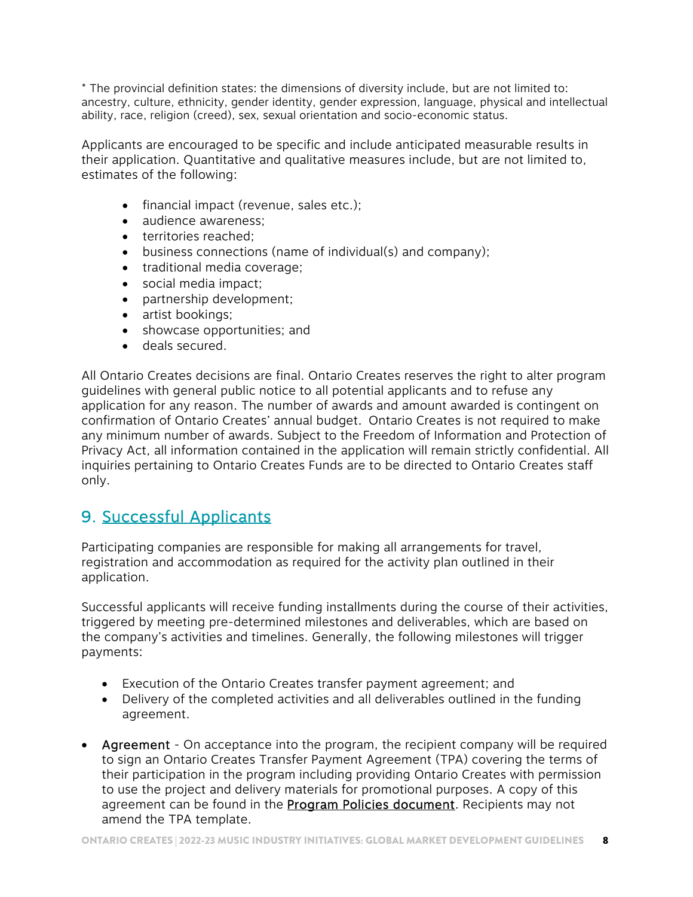\* The provincial definition states: the dimensions of diversity include, but are not limited to: ancestry, culture, ethnicity, gender identity, gender expression, language, physical and intellectual ability, race, religion (creed), sex, sexual orientation and socio-economic status.

Applicants are encouraged to be specific and include anticipated measurable results in their application. Quantitative and qualitative measures include, but are not limited to, estimates of the following:

- financial impact (revenue, sales etc.);
- audience awareness:
- territories reached;
- business connections (name of individual(s) and company);
- traditional media coverage;
- social media impact;
- partnership development;
- artist bookings;
- showcase opportunities; and
- deals secured.

All Ontario Creates decisions are final. Ontario Creates reserves the right to alter program guidelines with general public notice to all potential applicants and to refuse any application for any reason. The number of awards and amount awarded is contingent on confirmation of Ontario Creates' annual budget. Ontario Creates is not required to make any minimum number of awards. Subject to the Freedom of Information and Protection of Privacy Act, all information contained in the application will remain strictly confidential. All inquiries pertaining to Ontario Creates Funds are to be directed to Ontario Creates staff only.

# 9. Successful Applicants

Participating companies are responsible for making all arrangements for travel, registration and accommodation as required for the activity plan outlined in their application.

Successful applicants will receive funding installments during the course of their activities, triggered by meeting pre-determined milestones and deliverables, which are based on the company's activities and timelines. Generally, the following milestones will trigger payments:

- Execution of the Ontario Creates transfer payment agreement; and
- Delivery of the completed activities and all deliverables outlined in the funding agreement.
- Agreement On acceptance into the program, the recipient company will be required to sign an Ontario Creates Transfer Payment Agreement (TPA) covering the terms of their participation in the program including providing Ontario Creates with permission to use the project and delivery materials for promotional purposes. A copy of this agreement can be found in the **[Program Policies document](https://ontariocreates.ca/uploads/OMIF/Eng/Program-Policies.pdf)**. Recipients may not amend the TPA template.